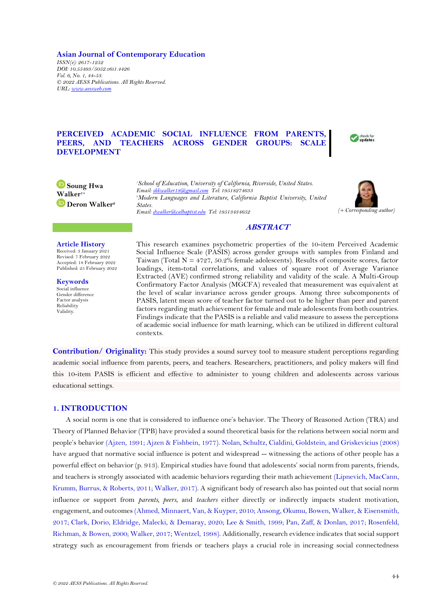**Asian Journal of Contemporary Education** *ISSN(e): 2617-1252 DOI: 10.55493/5052.v6i1.4426 Vol. 6, No. 1, 44-53. © 2022 AESS Publications. All Rights Reserved. URL[: www.aessweb.com](http://www.aessweb.com/)*

# **PERCEIVED ACADEMIC SOCIAL INFLUENCE FROM PARENTS, PEERS, AND TEACHERS ACROSS GENDER GROUPS: SCALE DEVELOPMENT**



**B** Soung Hwa **Walker1+ Deron Walker<sup>2</sup>**

*<sup>1</sup>School of Education, University of California, Riverside, United States. Email[: shkwalker18@gmail.com](mailto:shkwalker18@gmail.com) Tel: 19518274633 <sup>2</sup>Modern Languages and Literature, California Baptist University, United States. Email[: dwalker@calbaptist.edu](mailto:dwalker@calbaptist.edu) Tel: 19513434652 (+ Corresponding author)*



## **ABSTRACT**

**Article History** Received: 3 January 2021 Revised: 7 February 2022

Accepted: 18 February 2022 Published: 25 February 2022

**Keywords** Social influence Gender difference Factor analysis Reliability Validity.

This research examines psychometric properties of the 10-item Perceived Academic Social Influence Scale (PASIS) across gender groups with samples from Finland and Taiwan (Total  $N = 4727, 50.2\%$  female adolescents). Results of composite scores, factor loadings, item-total correlations, and values of square root of Average Variance Extracted (AVE) confirmed strong reliability and validity of the scale. A Multi-Group Confirmatory Factor Analysis (MGCFA) revealed that measurement was equivalent at the level of scalar invariance across gender groups. Among three subcomponents of PASIS, latent mean score of teacher factor turned out to be higher than peer and parent factors regarding math achievement for female and male adolescents from both countries. Findings indicate that the PASIS is a reliable and valid measure to assess the perceptions of academic social influence for math learning, which can be utilized in different cultural contexts.

**Contribution/ Originality:** This study provides a sound survey tool to measure student perceptions regarding academic social influence from parents, peers, and teachers. Researchers, practitioners, and policy makers will find this 10-item PASIS is efficient and effective to administer to young children and adolescents across various educational settings.

## **1. INTRODUCTION**

A social norm is one that is considered to influence one's behavior. The Theory of Reasoned Action (TRA) and Theory of Planned Behavior (TPB) have provided a sound theoretical basis for the relations between social norm and people's behavior [\(Ajzen, 1991;](#page-7-0) [Ajzen & Fishbein, 1977\)](#page-7-1). [Nolan, Schultz, Cialdini, Goldstein, and Griskevicius \(2008\)](#page-8-0) have argued that normative social influence is potent and widespread -- witnessing the actions of other people has a powerful effect on behavior (p. 913). Empirical studies have found that adolescents' social norm from parents, friends, and teachers is strongly associated with academic behaviors regarding their math achievement [\(Lipnevich, MacCann,](#page-8-1)  [Krumm, Burrus, & Roberts, 2011;](#page-8-1) [Walker, 2017\)](#page-9-0). A significant body of research also has pointed out that social norm influence or support from *parents, peers*, and *teachers* either directly or indirectly impacts student motivation, engagement, and outcomes [\(Ahmed, Minnaert, Van, & Kuyper, 2010;](#page-7-2) [Ansong, Okumu, Bowen, Walker, & Eisensmith,](#page-7-3)  [2017;](#page-7-3) [Clark, Dorio, Eldridge, Malecki, & Demaray, 2020;](#page-7-4) [Lee & Smith, 1999;](#page-8-2) [Pan, Zaff, & Donlan, 2017;](#page-8-3) [Rosenfeld,](#page-8-4)  [Richman, & Bowen, 2000;](#page-8-4) [Walker, 2017;](#page-9-0) [Wentzel, 1998\)](#page-9-1). Additionally, research evidence indicates that social support strategy such as encouragement from friends or teachers plays a crucial role in increasing social connectedness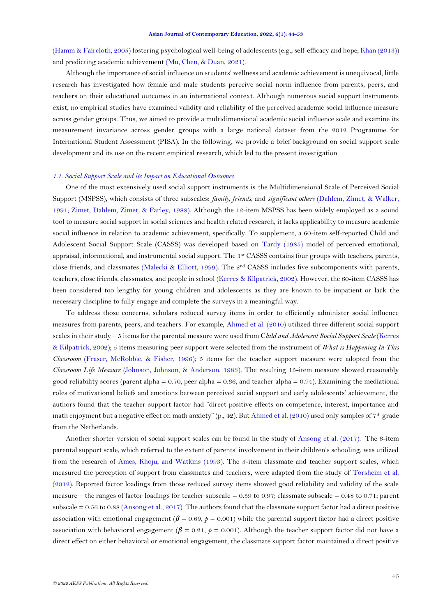[\(Hamm & Faircloth, 2005\)](#page-7-5) fostering psychological well-being of adolescents (e.g., self-efficacy and hope[; Khan \(2013\)](#page-8-5)) and predicting academic achievement [\(Mu, Chen, & Duan, 2021\)](#page-8-6).

Although the importance of social influence on students' wellness and academic achievement is unequivocal, little research has investigated how female and male students perceive social norm influence from parents, peers, and teachers on their educational outcomes in an international context. Although numerous social support instruments exist, no empirical studies have examined validity and reliability of the perceived academic social influence measure across gender groups. Thus, we aimed to provide a multidimensional academic social influence scale and examine its measurement invariance across gender groups with a large national dataset from the 2012 Programme for International Student Assessment (PISA). In the following, we provide a brief background on social support scale development and its use on the recent empirical research, which led to the present investigation.

#### *1.1. Social Support Scale and its Impact on Educational Outcomes*

One of the most extensively used social support instruments is the Multidimensional Scale of Perceived Social Support (MSPSS), which consists of three subscales: *family, friends*, and *significant others* [\(Dahlem, Zimet, & Walker,](#page-7-6)  [1991;](#page-7-6) [Zimet, Dahlem, Zimet, & Farley, 1988\)](#page-9-2). Although the 12-item MSPSS has been widely employed as a sound tool to measure social support in social sciences and health related research, it lacks applicability to measure academic social influence in relation to academic achievement, specifically. To supplement, a 60-item self-reported Child and Adolescent Social Support Scale (CASSS) was developed based on [Tardy \(1985\)](#page-8-7) model of perceived emotional, appraisal, informational, and instrumental social support. The 1st CASSS contains four groups with teachers, parents, close friends, and classmates [\(Malecki & Elliott, 1999\)](#page-8-8). The 2nd CASSS includes five subcomponents with parents, teachers, close friends, classmates, and people in school [\(Kerres & Kilpatrick, 2002\)](#page-8-9). However, the 60-item CASSS has been considered too lengthy for young children and adolescents as they are known to be impatient or lack the necessary discipline to fully engage and complete the surveys in a meaningful way.

To address those concerns, scholars reduced survey items in order to efficiently administer social influence measures from parents, peers, and teachers. For example, [Ahmed et al. \(2010\)](#page-7-2) utilized three different social support scales in their study – 5 items for the parental measure were used from C*hild and Adolescent Social Support Scale* [\(Kerres](#page-8-9)  [& Kilpatrick, 2002\)](#page-8-9); 5 items measuring peer support were selected from the instrument of *What is Happening In This Classroom* [\(Fraser, McRobbie, & Fisher, 1996\)](#page-7-7); 5 items for the teacher support measure were adopted from the *Classroom Life Measure* [\(Johnson, Johnson, & Anderson, 1983\)](#page-8-10). The resulting 15-item measure showed reasonably good reliability scores (parent alpha = 0.70, peer alpha = 0.66, and teacher alpha = 0.74). Examining the mediational roles of motivational beliefs and emotions between perceived social support and early adolescents' achievement, the authors found that the teacher support factor had "direct positive effects on competence, interest, importance and math enjoyment but a negative effect on math anxiety" (p., 42). But [Ahmed et al. \(2010\)](#page-7-2) used only samples of 7th grade from the Netherlands.

Another shorter version of social support scales can be found in the study of [Ansong et](#page-7-3) al. (2017). The 6-item parental support scale, which referred to the extent of parents' involvement in their children's schooling, was utilized from the research of [Ames, Khoju, and Watkins \(1993\)](#page-7-8). The 3-item classmate and teacher support scales, which measured the perception of support from classmates and teachers, were adapted from the study of [Torsheim et al.](#page-9-3)  [\(2012\)](#page-9-3). Reported factor loadings from those reduced survey items showed good reliability and validity of the scale measure – the ranges of factor loadings for teacher subscale  $= 0.59$  to 0.97; classmate subscale  $= 0.48$  to 0.71; parent subscale = 0.56 to 0.88 [\(Ansong et al., 2017\)](#page-7-3). The authors found that the classmate support factor had a direct positive association with emotional engagement  $(\beta = 0.69, \rho = 0.001)$  while the parental support factor had a direct positive association with behavioral engagement ( $\beta$  = 0.21,  $\beta$  = 0.001). Although the teacher support factor did not have a direct effect on either behavioral or emotional engagement, the classmate support factor maintained a direct positive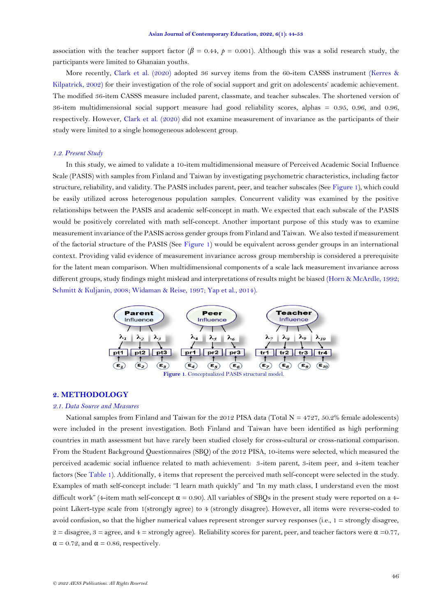association with the teacher support factor ( $\beta = 0.44$ ,  $\rho = 0.001$ ). Although this was a solid research study, the participants were limited to Ghanaian youths.

More recently, [Clark et al. \(2020\)](#page-7-4) adopted 36 survey items from the 60-item CASSS instrument [\(Kerres &](#page-8-9)  [Kilpatrick, 2002\)](#page-8-9) for their investigation of the role of social support and grit on adolescents' academic achievement. The modified 36-item CASSS measure included parent, classmate, and teacher subscales. The shortened version of 36-item multidimensional social support measure had good reliability scores, alphas = 0.95, 0.96, and 0.96, respectively. However, [Clark et al. \(2020\)](#page-7-4) did not examine measurement of invariance as the participants of their study were limited to a single homogeneous adolescent group.

### *1.2. Present Study*

In this study, we aimed to validate a 10-item multidimensional measure of Perceived Academic Social Influence Scale (PASIS) with samples from Finland and Taiwan by investigating psychometric characteristics, including factor structure, reliability, and validity. The PASIS includes parent, peer, and teacher subscales (See [Figure 1\)](#page-2-0), which could be easily utilized across heterogenous population samples. Concurrent validity was examined by the positive relationships between the PASIS and academic self-concept in math. We expected that each subscale of the PASIS would be positively correlated with math self-concept. Another important purpose of this study was to examine measurement invariance of the PASIS across gender groups from Finland and Taiwan. We also tested if measurement of the factorial structure of the PASIS (See [Figure 1\)](#page-2-0) would be equivalent across gender groups in an international context. Providing valid evidence of measurement invariance across group membership is considered a prerequisite for the latent mean comparison. When multidimensional components of a scale lack measurement invariance across different groups, study findings might mislead and interpretations of results might be biased [\(Horn & McArdle, 1992;](#page-7-9) [Schmitt & Kuljanin, 2008;](#page-8-11) [Widaman & Reise, 1997;](#page-9-4) [Yap et al., 2014\)](#page-9-5).



### <span id="page-2-0"></span>**2. METHODOLOGY**

### *2.1. Data Source and Measures*

National samples from Finland and Taiwan for the 2012 PISA data (Total  $N = 4727, 50.2\%$  female adolescents) were included in the present investigation. Both Finland and Taiwan have been identified as high performing countries in math assessment but have rarely been studied closely for cross-cultural or cross-national comparison. From the Student Background Questionnaires (SBQ) of the 2012 PISA, 10-items were selected, which measured the perceived academic social influence related to math achievement: 3-item parent, 3-item peer, and 4-item teacher factors (See [Table 1\)](#page-3-0). Additionally, 4 items that represent the perceived math self-concept were selected in the study. Examples of math self-concept include: "I learn math quickly" and "In my math class, I understand even the most difficult work" (4-item math self-concept  $\alpha = 0.90$ ). All variables of SBQs in the present study were reported on a 4point Likert-type scale from 1(strongly agree) to 4 (strongly disagree). However, all items were reverse-coded to avoid confusion, so that the higher numerical values represent stronger survey responses (i.e., 1 = strongly disagree,  $2 =$  disagree,  $3 =$  agree, and  $4 =$  strongly agree). Reliability scores for parent, peer, and teacher factors were  $\alpha = 0.77$ ,  $\alpha = 0.72$ , and  $\alpha = 0.86$ , respectively.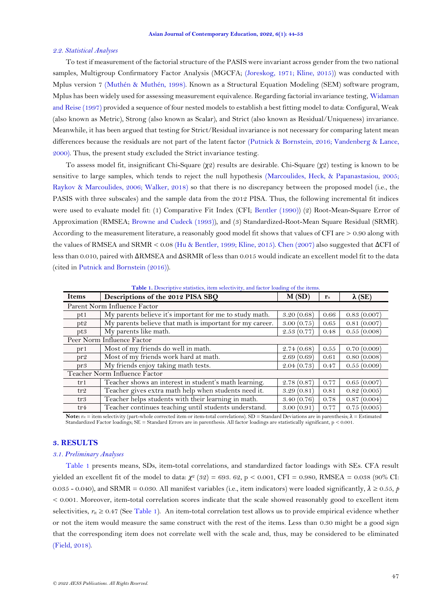#### *2.2. Statistical Analyses*

To test if measurement of the factorial structure of the PASIS were invariant across gender from the two national samples, Multigroup Confirmatory Factor Analysis (MGCFA; [\(Joreskog, 1971;](#page-8-12) [Kline, 2015\)](#page-8-13)) was conducted with Mplus version 7 [\(Muthén & Muthén, 1998\)](#page-8-14). Known as a Structural Equation Modeling (SEM) software program, Mplus has been widely used for assessing measurement equivalence. Regarding factorial invariance testing, [Widaman](#page-9-4)  [and Reise \(1997\)](#page-9-4) provided a sequence of four nested models to establish a best fitting model to data: Configural, Weak (also known as Metric), Strong (also known as Scalar), and Strict (also known as Residual/Uniqueness) invariance. Meanwhile, it has been argued that testing for Strict/Residual invariance is not necessary for comparing latent mean differences because the residuals are not part of the latent factor [\(Putnick & Bornstein, 2016;](#page-8-15) [Vandenberg & Lance,](#page-9-6)  [2000\)](#page-9-6). Thus, the present study excluded the Strict invariance testing.

To assess model fit, insignificant Chi-Square (χ2) results are desirable. Chi-Square (χ2) testing is known to be sensitive to large samples, which tends to reject the null hypothesis [\(Marcoulides, Heck, & Papanastasiou, 2005;](#page-8-16) [Raykov & Marcoulides, 2006;](#page-8-17) [Walker, 2018\)](#page-9-7) so that there is no discrepancy between the proposed model (i.e., the PASIS with three subscales) and the sample data from the 2012 PISA. Thus, the following incremental fit indices were used to evaluate model fit: (1) Comparative Fit Index (CFI; [Bentler \(1990\)](#page-7-10)) (2) Root-Mean-Square Error of Approximation (RMSEA; [Browne and Cudeck \(1993\)](#page-7-11)), and (3) Standardized-Root-Mean Square Residual (SRMR). According to the measurement literature, a reasonably good model fit shows that values of CFI are > 0.90 along with the values of RMSEA and SRMR < 0.08 [\(Hu & Bentler, 1999;](#page-7-12) [Kline, 2015\)](#page-8-13)[. Chen \(2007\)](#page-7-13) also suggested that ΔCFI of less than 0.010, paired with ΔRMSEA and ΔSRMR of less than 0.015 would indicate an excellent model fit to the data (cited i[n Putnick and Bornstein \(2016\)](#page-8-15)).

**Table 1.** Descriptive statistics, item selectivity, and factor loading of the items.

<span id="page-3-0"></span>

| <b>Items</b>                 | Descriptions of the 2012 PISA SBO                        | M(SD)      | $\mathbf{r}_{\mathrm{it}}$ | $\lambda$ (SE) |  |  |  |  |  |
|------------------------------|----------------------------------------------------------|------------|----------------------------|----------------|--|--|--|--|--|
| Parent Norm Influence Factor |                                                          |            |                            |                |  |  |  |  |  |
| pt1                          | My parents believe it's important for me to study math.  | 3.20(0.68) | 0.66                       | 0.83(0.007)    |  |  |  |  |  |
| pt2                          | My parents believe that math is important for my career. | 3.00(0.75) | 0.65                       | 0.81(0.007)    |  |  |  |  |  |
| pt3                          | My parents like math.                                    | 2.53(0.77) | 0.48                       | 0.55(0.008)    |  |  |  |  |  |
|                              | Peer Norm Influence Factor                               |            |                            |                |  |  |  |  |  |
| pr 1                         | Most of my friends do well in math.                      | 2.74(0.68) | 0.55                       | 0.70(0.009)    |  |  |  |  |  |
| pr2                          | Most of my friends work hard at math.                    | 2.69(0.69) | 0.61                       | 0.80(0.008)    |  |  |  |  |  |
| pr3                          | My friends enjoy taking math tests.                      | 2.04(0.73) | 0.47                       | 0.55(0.009)    |  |  |  |  |  |
|                              | Teacher Norm Influence Factor                            |            |                            |                |  |  |  |  |  |
| tr1                          | Teacher shows an interest in student's math learning.    | 2.78(0.87) | 0.77                       | 0.65(0.007)    |  |  |  |  |  |
| tr <sub>2</sub>              | Teacher gives extra math help when students need it.     | 3.29(0.81) | 0.81                       | 0.82(0.005)    |  |  |  |  |  |
| tr3                          | Teacher helps students with their learning in math.      | 3.40(0.76) | 0.78                       | 0.87(0.004)    |  |  |  |  |  |
| tr4                          | Teacher continues teaching until students understand.    | 0.77       | 0.75(0.005)                |                |  |  |  |  |  |

Note: r<sub>it</sub> = item selectivity (part-whole corrected item or item-total correlations). SD = Standard Deviations are in parenthesis;  $λ$  = Estimated Standardized Factor loadings; SE = Standard Errors are in parenthesis. All factor loadings are statistically significant, p < 0.001.

## **3. RESULTS**

## *3.1. Preliminary Analyses*

[Table 1](#page-3-0) presents means, SDs, item-total correlations, and standardized factor loadings with SEs. CFA result yielded an excellent fit of the model to data:  $\chi^2$  (32) = 693. 62, p < 0.001, CFI = 0.980, RMSEA = 0.038 (90% CI: 0.035 - 0.040), and SRMR = 0.030. All manifest variables (i.e., item indicators) were loaded significantly, *λ* ≥ 0.55, *p*  < 0.001. Moreover, item-total correlation scores indicate that the scale showed reasonably good to excellent item selectivities,  $r_{it} \geq 0.47$  (See [Table 1\)](#page-3-0). An item-total correlation test allows us to provide empirical evidence whether or not the item would measure the same construct with the rest of the items. Less than 0.30 might be a good sign that the corresponding item does not correlate well with the scale and, thus, may be considered to be eliminated [\(Field, 2018\)](#page-7-14).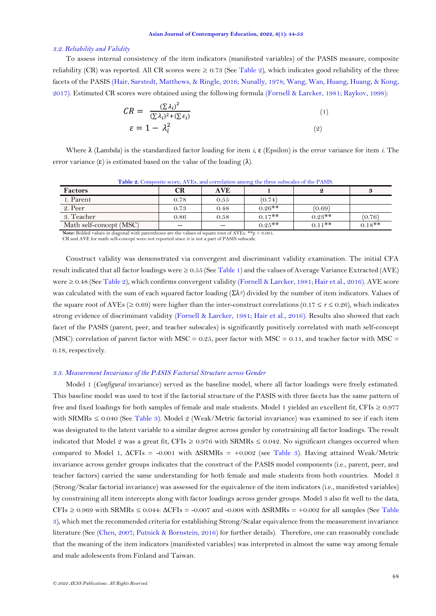#### *3.2. Reliability and Validity*

To assess internal consistency of the item indicators (manifested variables) of the PASIS measure, composite reliability (CR) was reported. All CR scores were  $\geq 0.73$  (See [Table 2\)](#page-4-0), which indicates good reliability of the three facets of the PASIS [\(Hair, Sarstedt, Matthews, & Ringle, 2016;](#page-7-15) [Nunally, 1978;](#page-8-18) [Wang, Wan, Huang, Huang, & Kong,](#page-9-8)  [2017\)](#page-9-8). Estimated CR scores were obtained using the following formula [\(Fornell & Larcker, 1981;](#page-7-16) [Raykov, 1998\)](#page-8-19):

$$
CR = \frac{(\Sigma \lambda_i)^2}{(\Sigma \lambda_i)^2 + (\Sigma \varepsilon_i)}
$$
  
\n
$$
\varepsilon = 1 - \lambda_i^2
$$
 (2)

Where λ (Lambda) is the standardized factor loading for item *i*, ε (Epsilon) is the error variance for item *i*. The error variance  $(\epsilon)$  is estimated based on the value of the loading  $(\lambda)$ .

<span id="page-4-0"></span>

| <b>Factors</b>          | CR    | <b>AVE</b> |          | 9.        | 3        |
|-------------------------|-------|------------|----------|-----------|----------|
| 1. Parent               | 0.78  | 0.55       | (0.74)   |           |          |
| 2. Peer                 | 0.73  | 0.48       | $0.26**$ | (0.69)    |          |
| 3. Teacher              | 0.86  | 0.58       | $0.17**$ | $0.23**$  | (0.76)   |
| Math self-concept (MSC) | $- -$ | $- -$      | $0.25**$ | $0.11$ ** | $0.18**$ |

**Table 2.** Composite score, AVEs, and correlation among the three subscales of the PASIS.

**Note:** Bolded values in diagonal with parentheses are the values of square root of AVEs. \*\*p < 0.001. CR and AVE for math self-concept were not reported since it is not a part of PASIS subscale.

Construct validity was demonstrated via convergent and discriminant validity examination. The initial CFA result indicated that all factor loadings were  $\geq 0.55$  (Se[e Table 1\)](#page-3-0) and the values of Average Variance Extracted (AVE) were ≥ 0.48 (See [Table 2\)](#page-4-0), which confirms convergent validity [\(Fornell & Larcker, 1981;](#page-7-16) [Hair et al., 2016\)](#page-7-15). AVE score was calculated with the sum of each squared factor loading (Σ*λ<sup>i</sup>* 2 ) divided by the number of item indicators. Values of the square root of AVEs ( $\geq 0.69$ ) were higher than the inter-construct correlations ( $0.17 \leq r \leq 0.26$ ), which indicates strong evidence of discriminant validity [\(Fornell & Larcker, 1981;](#page-7-16) [Hair et al., 2016\)](#page-7-15). Results also showed that each facet of the PASIS (parent, peer, and teacher subscales) is significantly positively correlated with math self-concept (MSC): correlation of parent factor with MSC = 0.25, peer factor with MSC = 0.11, and teacher factor with MSC = 0.18, respectively.

### *3.3. Measurement Invariance of the PASIS Factorial Structure across Gender*

Model 1 (*Configural* invariance) served as the baseline model, where all factor loadings were freely estimated. This baseline model was used to test if the factorial structure of the PASIS with three facets has the same pattern of free and fixed loadings for both samples of female and male students. Model 1 yielded an excellent fit, CFIs  $\geq 0.977$ with SRMRs  $\leq 0.040$  (See [Table 3\)](#page-5-0). Model 2 (Weak/Metric factorial invariance) was examined to see if each item was designated to the latent variable to a similar degree across gender by constraining all factor loadings. The result indicated that Model 2 was a great fit, CFIs  $\geq 0.976$  with SRMRs  $\leq 0.042$ . No significant changes occurred when compared to Model 1, ∆CFIs = -0.001 with ∆SRMRs = +0.002 (see [Table 3\)](#page-5-0). Having attained Weak/Metric invariance across gender groups indicates that the construct of the PASIS model components (i.e., parent, peer, and teacher factors) carried the same understanding for both female and male students from both countries. Model 3 (Strong/Scalar factorial invariance) was assessed for the equivalence of the item indicators (i.e., manifested variables) by constraining all item intercepts along with factor loadings across gender groups. Model 3 also fit well to the data,  $CFIs \ge 0.969$  with SRMRs  $\le 0.044$ :  $\Delta CFIs = -0.007$  and  $-0.008$  with  $\Delta SRMRs = +0.002$  for all samples (See Table [3\)](#page-5-0), which met the recommended criteria for establishing Strong/Scalar equivalence from the measurement invariance literature (See [\(Chen, 2007;](#page-7-13) [Putnick & Bornstein, 2016\)](#page-8-15) for further details). Therefore, one can reasonably conclude that the meaning of the item indicators (manifested variables) was interpreted in almost the same way among female and male adolescents from Finland and Taiwan.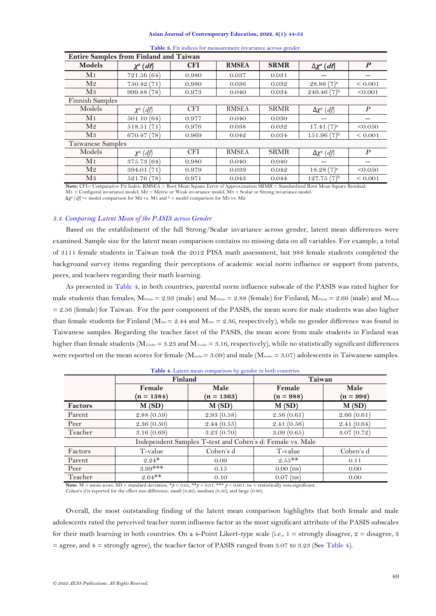#### **Asian Journal of Contemporary Education, 2022, 6(1): 44-53**

<span id="page-5-0"></span>

| <b>Entire Samples from Finland and Taiwan</b> |               |            |              |             |                       |                  |  |  |  |
|-----------------------------------------------|---------------|------------|--------------|-------------|-----------------------|------------------|--|--|--|
| Models                                        | $\chi^2$ (df) | <b>CFI</b> | <b>RMSEA</b> | <b>SRMR</b> | $\Delta \chi^2$ (df)  | $\boldsymbol{P}$ |  |  |  |
| M1                                            | 721.56(64)    | 0.980      | 0.037        | 0.031       |                       | --               |  |  |  |
| M <sub>2</sub>                                | 750.42 (71)   | 0.980      | 0.036        | 0.032       | $28.86(7)^a$          | ${}_{0.001}$     |  |  |  |
| M3                                            | 999.88 (78)   | 0.973      | 0.040        | 0.034       | $249.46(7)^{b}$       | < 0.001          |  |  |  |
| <b>Finnish Samples</b>                        |               |            |              |             |                       |                  |  |  |  |
| Models                                        | $\chi^2$ (df) | <b>CFI</b> | <b>RMSEA</b> | <b>SRMR</b> | $\Delta \chi^2$ (df)  | $\boldsymbol{P}$ |  |  |  |
| M1                                            | 501.10(64)    | 0.977      | 0.040        | 0.030       |                       | --               |  |  |  |
| M <sub>2</sub>                                | 518.51(71)    | 0.976      | 0.038        | 0.032       | 17.41(7) <sup>a</sup> | < 0.050          |  |  |  |
| M3                                            | 670.47 (78)   | 0.969      | 0.042        | 0.034       | $151.96(7)^{b}$       | ${}_{0.001}$     |  |  |  |
| Taiwanese Samples                             |               |            |              |             |                       |                  |  |  |  |
| Models                                        | $\chi^2$ (df) | <b>CFI</b> | <b>RMSEA</b> | <b>SRMR</b> | $\Delta \chi^2$ (df)  | $\boldsymbol{P}$ |  |  |  |
| M <sub>1</sub>                                | 375.73(64)    | 0.980      | 0.040        | 0.040       | --                    | --               |  |  |  |
| M <sub>2</sub>                                | 394.01 (71)   | 0.979      | 0.039        | 0.042       | $18.28(7)^a$          | < 0.050          |  |  |  |
| M3                                            | 521.76 (78)   | 0.971      | 0.043        | 0.044       | $127.75(7)^{b}$       | ${}_{0.001}$     |  |  |  |

|  |  |  | Table 3. Fit indices for measurement invariance across gender. |  |  |  |  |
|--|--|--|----------------------------------------------------------------|--|--|--|--|
|--|--|--|----------------------------------------------------------------|--|--|--|--|

**Note:** CFI= Comparative Fit Index; RMSEA = Root Mean Square Error of Approximation SRMR = Standardized Root Mean Square Residual. M1 = Configural invariance model; M2 = Metric or Weak invariance model; M3 = Scalar or Strong invariance model.

 $\Delta \chi^2$  (*df*)<sup>a</sup> = model comparison for M2 vs. M1 and <sup>b</sup> = model comparison for M3 vs. M2.

### *3.4. Comparing Latent Mean of the PASIS across Gender*

Based on the establishment of the full Strong/Scalar invariance across gender, latent mean differences were examined. Sample size for the latent mean comparison contains no missing data on all variables. For example, a total of 3111 female students in Taiwan took the 2012 PISA math assessment, but 988 female students completed the background survey items regarding their perceptions of academic social norm influence or support from parents, peers, and teachers regarding their math learning.

As presented in [Table 4,](#page-5-1) in both countries, parental norm influence subscale of the PASIS was rated higher for male students than females; M*Parent* = 2.93 (male) and M*Parent* = 2.88 (female) for Finland; M*Parent* = 2.66 (male) and M*Parent*  $= 2.56$  (female) for Taiwan. For the peer component of the PASIS, the mean score for male students was also higher than female students for Finland (M*Peer* = 2.44 and M*Peer* = 2.36, respectively), while no gender difference was found in Taiwanese samples. Regarding the teacher facet of the PASIS, the mean score from male students in Finland was higher than female students (M<sub>Teacher</sub> = 3.23 and M<sub>Teacher</sub> = 3.16, respectively), while no statistically significant differences were reported on the mean scores for female (M*teacher* = 3.09) and male (M*teacher* = 3.07) adolescents in Taiwanese samples.

<span id="page-5-1"></span>

|         | Finland      |                                                           | Taiwan      |             |  |
|---------|--------------|-----------------------------------------------------------|-------------|-------------|--|
|         | Female       | Male                                                      | Female      | Male        |  |
|         | $(n = 1384)$ | $(n = 1363)$                                              | $(n = 988)$ | $(n = 992)$ |  |
| Factors | M(SD)        | M(SD)                                                     | M(SD)       | M(SD)       |  |
| Parent  | 2.88(0.59)   | 2.93(0.58)                                                | 2.56(0.61)  | 2.66(0.61)  |  |
| Peer    | 2.36(0.50)   | 2.44(0.55)                                                | 2.41(0.56)  | 2.41(0.64)  |  |
| Teacher | 3.16(0.69)   | 3.23(0.70)                                                | 3.09(0.65)  | 3.07(0.72)  |  |
|         |              | Independent Samples T-test and Cohen's d: Female vs. Male |             |             |  |
| Factors | T-value      | Cohen's d                                                 | T-value     | Cohen's d   |  |
| Parent  | $2.24*$      | 0.09                                                      | $2.55**$    | 0.11        |  |
| Peer    | $3.99***$    | 0.15                                                      | $0.00$ (ns) | 0.00        |  |
| Teacher | $2.64**$     | 0.10                                                      | $0.07$ (ns) | 0.00        |  |

|  |  |  | Table 4. Latent mean comparison by gender in both countries. |  |  |  |
|--|--|--|--------------------------------------------------------------|--|--|--|
|  |  |  |                                                              |  |  |  |

**Note**:  $M =$  mean score,  $SD =$  standard deviation. \**p* < 0.05, \*\**p* < 0.01, \*\*\* *p* < 0.001. ns = statistically non-significant. Cohen's *d* is reported for the effect size difference: small (0.20), medium (0.50), and large (0.80).

Overall, the most outstanding finding of the latent mean comparison highlights that both female and male adolescents rated the perceived teacher norm influence factor as the most significant attribute of the PASIS subscales for their math learning in both countries. On a 4-Point Likert-type scale (i.e.,  $1 =$  strongly disagree,  $2 =$  disagree, 3  $=$  agree, and  $4 =$  strongly agree), the teacher factor of PASIS ranged from 3.07 to 3.23 (Se[e Table 4\)](#page-5-1).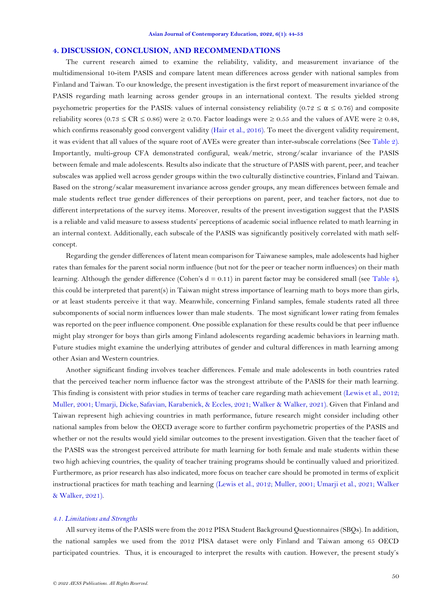### **4. DISCUSSION, CONCLUSION, AND RECOMMENDATIONS**

The current research aimed to examine the reliability, validity, and measurement invariance of the multidimensional 10-item PASIS and compare latent mean differences across gender with national samples from Finland and Taiwan. To our knowledge, the present investigation is the first report of measurement invariance of the PASIS regarding math learning across gender groups in an international context. The results yielded strong psychometric properties for the PASIS: values of internal consistency reliability (0.72  $\leq \alpha \leq 0.76$ ) and composite reliability scores (0.73  $\leq$  CR  $\leq$  0.86) were  $\geq$  0.70. Factor loadings were  $\geq$  0.55 and the values of AVE were  $\geq$  0.48, which confirms reasonably good convergent validity [\(Hair et al., 2016\)](#page-7-15). To meet the divergent validity requirement, it was evident that all values of the square root of AVEs were greater than inter-subscale correlations (Se[e Table 2\)](#page-4-0). Importantly, multi-group CFA demonstrated configural, weak/metric, strong/scalar invariance of the PASIS between female and male adolescents. Results also indicate that the structure of PASIS with parent, peer, and teacher subscales was applied well across gender groups within the two culturally distinctive countries, Finland and Taiwan. Based on the strong/scalar measurement invariance across gender groups, any mean differences between female and male students reflect true gender differences of their perceptions on parent, peer, and teacher factors, not due to different interpretations of the survey items. Moreover, results of the present investigation suggest that the PASIS is a reliable and valid measure to assess students' perceptions of academic social influence related to math learning in an internal context. Additionally, each subscale of the PASIS was significantly positively correlated with math selfconcept.

Regarding the gender differences of latent mean comparison for Taiwanese samples, male adolescents had higher rates than females for the parent social norm influence (but not for the peer or teacher norm influences) on their math learning. Although the gender difference (Cohen's  $d = 0.11$ ) in parent factor may be considered small (see [Table 4\)](#page-5-1), this could be interpreted that parent(s) in Taiwan might stress importance of learning math to boys more than girls, or at least students perceive it that way. Meanwhile, concerning Finland samples, female students rated all three subcomponents of social norm influences lower than male students. The most significant lower rating from females was reported on the peer influence component. One possible explanation for these results could be that peer influence might play stronger for boys than girls among Finland adolescents regarding academic behaviors in learning math. Future studies might examine the underlying attributes of gender and cultural differences in math learning among other Asian and Western countries.

Another significant finding involves teacher differences. Female and male adolescents in both countries rated that the perceived teacher norm influence factor was the strongest attribute of the PASIS for their math learning. This finding is consistent with prior studies in terms of teacher care regarding math achievement [\(Lewis et al., 2012;](#page-8-20) [Muller, 2001;](#page-8-21) [Umarji, Dicke, Safavian, Karabenick, & Eccles, 2021;](#page-9-9) [Walker & Walker, 2021\)](#page-9-10). Given that Finland and Taiwan represent high achieving countries in math performance, future research might consider including other national samples from below the OECD average score to further confirm psychometric properties of the PASIS and whether or not the results would yield similar outcomes to the present investigation. Given that the teacher facet of the PASIS was the strongest perceived attribute for math learning for both female and male students within these two high achieving countries, the quality of teacher training programs should be continually valued and prioritized. Furthermore, as prior research has also indicated, more focus on teacher care should be promoted in terms of explicit instructional practices for math teaching and learning [\(Lewis et al., 2012;](#page-8-20) [Muller, 2001;](#page-8-21) [Umarji et al., 2021;](#page-9-9) [Walker](#page-9-10)  [& Walker, 2021\)](#page-9-10).

### *4.1. Limitations and Strengths*

All survey items of the PASIS were from the 2012 PISA Student Background Questionnaires (SBQs). In addition, the national samples we used from the 2012 PISA dataset were only Finland and Taiwan among 65 OECD participated countries. Thus, it is encouraged to interpret the results with caution. However, the present study's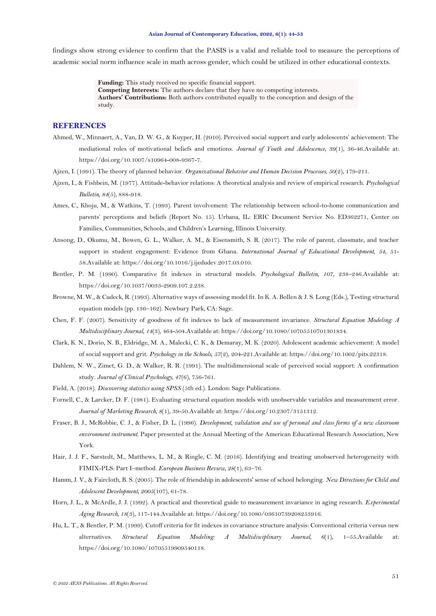#### **Asian Journal of Contemporary Education, 2022, 6(1): 44-53**

findings show strong evidence to confirm that the PASIS is a valid and reliable tool to measure the perceptions of academic social norm influence scale in math across gender, which could be utilized in other educational contexts.

> **Funding:** This study received no specific financial support. **Competing Interests:** The authors declare that they have no competing interests. **Authors' Contributions:** Both authors contributed equally to the conception and design of the study.

# **REFERENCES**

- <span id="page-7-2"></span>Ahmed, W., Minnaert, A., Van, D. W. G., & Kuyper, H. (2010). Perceived social support and early adolescents' achievement: The mediational roles of motivational beliefs and emotions. *Journal of Youth and Adolescence, 39*(1), 36-46.Available at: https://doi.org/10.1007/s10964-008-9367-7.
- <span id="page-7-0"></span>Ajzen, I. (1991). The theory of planned behavior. *Organizational Behavior and Human Decision Processes, 50*(2), 179-211.
- <span id="page-7-1"></span>Ajzen, I., & Fishbein, M. (1977). Attitude-behavior relations: A theoretical analysis and review of empirical research. *Psychological Bulletin, 84*(5), 888-918.
- <span id="page-7-8"></span>Ames, C., Khoju, M., & Watkins, T. (1993). Parent involvement: The relationship between school-to-home communication and parents' perceptions and beliefs (Report No. 15). Urbana, IL: ERIC Document Service No. ED362271, Center on Families, Communities, Schools, and Children's Learning, Illinois University.
- <span id="page-7-3"></span>Ansong, D., Okumu, M., Bowen, G. L., Walker, A. M., & Eisensmith, S. R. (2017). The role of parent, classmate, and teacher support in student engagement: Evidence from Ghana. *International Journal of Educational Development, 54*, 51- 58.Available at: https://doi.org/10.1016/j.ijedudev.2017.03.010.
- <span id="page-7-10"></span>Bentler, P. M. (1990). Comparative fit indexes in structural models. *Psychological Bulletin, 107*, 238–246.Available at: https://doi.org/10.1037/0033-2909.107.2.238.
- <span id="page-7-11"></span>Browne, M. W., & Cudeck, R. (1993). Alternative ways of assessing model fit. In K. A. Bollen & J. S. Long (Eds.), Testing structural equation models (pp. 136–162). Newbury Park, CA: Sage.
- <span id="page-7-13"></span>Chen, F. F. (2007). Sensitivity of goodness of fit indexes to lack of measurement invariance. *Structural Equation Modeling: A Multidisciplinary Journal, 14*(3), 464-504.Available at: https://doi.org/10.1080/10705510701301834.
- <span id="page-7-4"></span>Clark, K. N., Dorio, N. B., Eldridge, M. A., Malecki, C. K., & Demaray, M. K. (2020). Adolescent academic achievement: A model of social support and grit. *Psychology in the Schools, 57*(2), 204-221.Available at: https://doi.org/10.1002/pits.22318.
- <span id="page-7-6"></span>Dahlem, N. W., Zimet, G. D., & Walker, R. R. (1991). The multidimensional scale of perceived social support: A confirmation study. *Journal of Clinical Psychology, 47*(6), 756-761.
- <span id="page-7-14"></span>Field, A. (2018). *Discovering statistics using SPSS* (5th ed.). London: Sage Publications.
- <span id="page-7-16"></span>Fornell, C., & Larcker, D. F. (1981). Evaluating structural equation models with unobservable variables and measurement error. *Journal of Marketing Research, 8*(1), 39-50.Available at: https://doi.org/10.2307/3151312.
- <span id="page-7-7"></span>Fraser, B. J., McRobbie, C. J., & Fisher, D. L. (1996). *Development, validation and use of personal and class forms of a new classroom environment instrument*. Paper presented at the Annual Meeting of the American Educational Research Association, New York.
- <span id="page-7-15"></span>Hair, J. J. F., Sarstedt, M., Matthews, L. M., & Ringle, C. M. (2016). Identifying and treating unobserved heterogeneity with FIMIX-PLS: Part I–method. *European Business Review, 28*(1), 63–76.
- <span id="page-7-5"></span>Hamm, J. V., & Faircloth, B. S. (2005). The role of friendship in adolescents' sense of school belonging. *New Directions for Child and Adolescent Development, 2005*(107), 61-78.
- <span id="page-7-9"></span>Horn, J. L., & McArdle, J. J. (1992). A practical and theoretical guide to measurement invariance in aging research. *Experimental Aging Research, 18*(3), 117-144.Available at: https://doi.org/10.1080/03610739208253916.
- <span id="page-7-12"></span>Hu, L. T., & Bentler, P. M. (1999). Cutoff criteria for fit indexes in covariance structure analysis: Conventional criteria versus new alternatives. *Structural Equation Modeling: A Multidisciplinary Journal, 6*(1), 1–55.Available at: https://doi.org/10.1080/10705519909540118.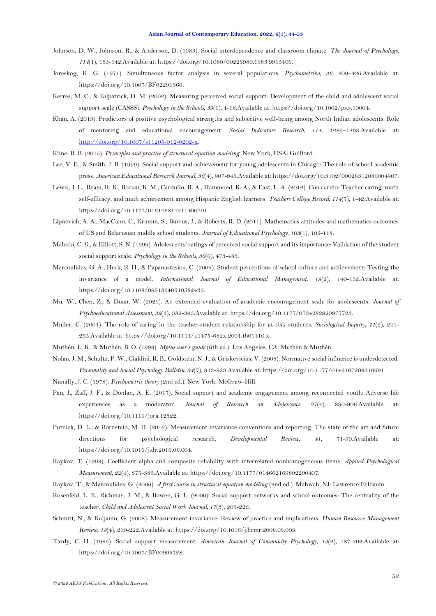- <span id="page-8-10"></span>Johnson, D. W., Johnson, R., & Anderson, D. (1983). Social interdependence and classroom climate. *The Journal of Psychology, 114*(1), 135-142.Available at: https://doi.org/10.1080/00223980.1983.9915406.
- <span id="page-8-12"></span>Joreskog, K. G. (1971). Simultaneous factor analysis in several populations. *Psychometrika, 36*, 409–426.Available at: https://doi.org/10.1007/BF02291366.
- <span id="page-8-9"></span>Kerres, M. C., & Kilpatrick, D. M. (2002). Measuring perceived social support: Development of the child and adolescent social support scale (CASSS). *Psychology in the Schools, 39*(1), 1-18.Available at: https://doi.org/10.1002/pits.10004.
- <span id="page-8-5"></span>Khan, A. (2013). Predictors of positive psychological strengths and subjective well-being among North Indian adolescents: Role of mentoring and educational encouragement. *Social Indicators Research, 114*, 1285–1293.Available at: [http://doi.org/10.1007/s11205-012-0202-x.](http://doi.org/10.1007/s11205-012-0202-x)
- <span id="page-8-13"></span>Kline, R. B. (2015). *Principles and practice of structural equation modeling*. New York, USA: Guilford.
- <span id="page-8-2"></span>Lee, V. E., & Smith, J. B. (1999). Social support and achievement for young adolescents in Chicago: The role of school academic press. *American Educational Research Journal, 36*(4), 907-945.Available at: https://doi.org/10.3102/00028312036004907.
- <span id="page-8-20"></span>Lewis, J. L., Ream, R. K., Bocian, K. M., Cardullo, R. A., Hammond, K. A., & Fast, L. A. (2012). Con cariño: Teacher caring, math self-efficacy, and math achievement among Hispanic English learners. *Teachers College Record, 114*(7), 1-42.Available at: https://doi.org/10.1177/016146811211400701.
- <span id="page-8-1"></span>Lipnevich, A. A., MacCann, C., Krumm, S., Burrus, J., & Roberts, R. D. (2011). Mathematics attitudes and mathematics outcomes of US and Belarusian middle school students. *Journal of Educational Psychology, 103*(1), 105-118.
- <span id="page-8-8"></span>Malecki, C. K., & Elliott, S. N. (1999). Adolescents' ratings of perceived social support and its importance: Validation of the student social support scale. *Psychology in the Schools, 36*(6), 473-483.
- <span id="page-8-16"></span>Marcoulides, G. A., Heck, R. H., & Papanastasiou, C. (2005). Student perceptions of school culture and achievement: Testing the invariance of a model. *International Journal of Educational Management, 19*(2), 140-152.Available at: https://doi.org/10.1108/09513540510582435.
- <span id="page-8-6"></span>Mu, W., Chen, Z., & Duan, W. (2021). An extended evaluation of academic encouragement scale for adolescents. *Journal of Psychoeducational Assessment, 39*(3), 332-345.Available at: https://doi.org/10.1177/0734282920977723.
- <span id="page-8-21"></span>Muller, C. (2001). The role of caring in the teacher-student relationship for at-risk students. *Sociological Inquiry, 71*(2), 241- 255.Available at: https://doi.org/10.1111/j.1475-682x.2001.tb01110.x.
- <span id="page-8-14"></span>Muthén, L. K., & Muthén, B. O. (1998). *Mplus user's guide* (6th ed.). Los Angeles, CA: Muthén & Muthén.
- <span id="page-8-0"></span>Nolan, J. M., Schultz, P. W., Cialdini, R. B., Goldstein, N. J., & Griskevicius, V. (2008). Normative social influence is underdetected. *Personality and Social Psychology Bulletin, 34*(7), 913-923.Available at: https://doi.org/10.1177/0146167208316691.
- <span id="page-8-18"></span>Nunally, J. C. (1978). *Psychometric theory* (2nd ed.). New York: McGraw-Hill.
- <span id="page-8-3"></span>Pan, J., Zaff, J. F., & Donlan, A. E. (2017). Social support and academic engagement among reconnected youth: Adverse life experiences as a moderator. *Journal of Research on Adolescence*, 27(4), 890-906.Available https://doi.org/10.1111/jora.12322.
- <span id="page-8-15"></span>Putnick, D. L., & Bornstein, M. H. (2016). Measurement invariance conventions and reporting: The state of the art and future directions for psychological research. *Developmental Review, 41*, 71-90.Available at: https://doi.org/10.1016/j.dr.2016.06.004.
- <span id="page-8-19"></span>Raykov, T. (1998). Coefficient alpha and composite reliability with interrelated nonhomogeneous items. *Applied Psychological Measurement, 22*(4), 375-385.Available at: https://doi.org/10.1177/014662169802200407.
- <span id="page-8-17"></span>Raykov, T., & Marcoulides, G. (2006). *A first course in structural equation modeling* (2nd ed.). Mahwah, NJ: Lawrence Erlbaum.
- <span id="page-8-4"></span>Rosenfeld, L. B., Richman, J. M., & Bowen, G. L. (2000). Social support networks and school outcomes: The centrality of the teacher. *Child and Adolescent Social Work Journal, 17*(3), 205-226.
- <span id="page-8-11"></span>Schmitt, N., & Kuljanin, G. (2008). Measurement invariance: Review of practice and implications. *Human Resource Management Review, 18*(4), 210-222.Available at: https://doi.org/10.1016/j.hrmr.2008.03.003.
- <span id="page-8-7"></span>Tardy, C. H. (1985). Social support measurement. *American Journal of Community Psychology, 13*(2), 187-202.Available at: https://doi.org/10.1007/BF00905728.